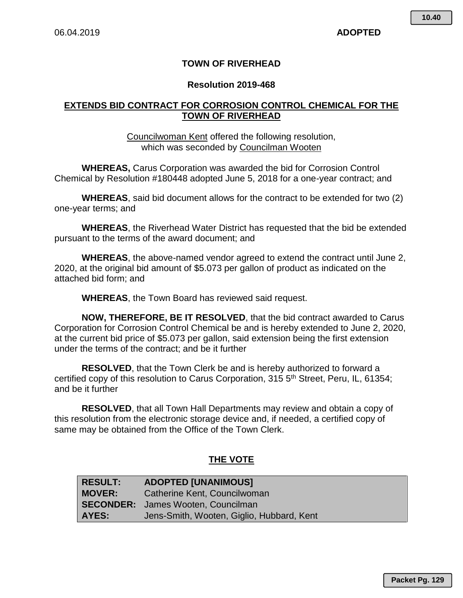### **TOWN OF RIVERHEAD**

### **Resolution 2019-468**

### **EXTENDS BID CONTRACT FOR CORROSION CONTROL CHEMICAL FOR THE TOWN OF RIVERHEAD**

### Councilwoman Kent offered the following resolution, which was seconded by Councilman Wooten

**WHEREAS,** Carus Corporation was awarded the bid for Corrosion Control Chemical by Resolution #180448 adopted June 5, 2018 for a one-year contract; and

**WHEREAS**, said bid document allows for the contract to be extended for two (2) one-year terms; and

**WHEREAS**, the Riverhead Water District has requested that the bid be extended pursuant to the terms of the award document; and

**WHEREAS**, the above-named vendor agreed to extend the contract until June 2, 2020, at the original bid amount of \$5.073 per gallon of product as indicated on the attached bid form; and

**WHEREAS**, the Town Board has reviewed said request.

**NOW, THEREFORE, BE IT RESOLVED**, that the bid contract awarded to Carus Corporation for Corrosion Control Chemical be and is hereby extended to June 2, 2020, at the current bid price of \$5.073 per gallon, said extension being the first extension under the terms of the contract; and be it further

**RESOLVED**, that the Town Clerk be and is hereby authorized to forward a certified copy of this resolution to Carus Corporation, 315 5<sup>th</sup> Street, Peru, IL, 61354; and be it further

**RESOLVED**, that all Town Hall Departments may review and obtain a copy of this resolution from the electronic storage device and, if needed, a certified copy of same may be obtained from the Office of the Town Clerk.

## **THE VOTE**

| <b>RESULT:</b> | <b>ADOPTED [UNANIMOUS]</b>                |
|----------------|-------------------------------------------|
| <b>MOVER:</b>  | Catherine Kent, Councilwoman              |
|                | <b>SECONDER:</b> James Wooten, Councilman |
| AYES:          | Jens-Smith, Wooten, Giglio, Hubbard, Kent |

**Packet Pg. 129**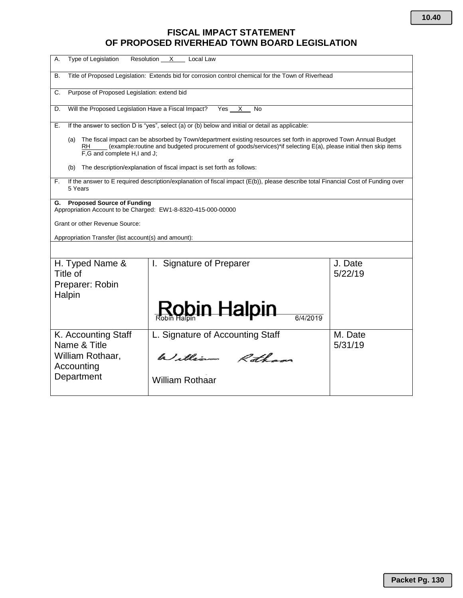## **FISCAL IMPACT STATEMENT OF PROPOSED RIVERHEAD TOWN BOARD LEGISLATION**

| А.<br>Type of Legislation<br>Resolution<br>X<br>Local Law                                                                                                                                                                                                                       |                                  |                    |  |
|---------------------------------------------------------------------------------------------------------------------------------------------------------------------------------------------------------------------------------------------------------------------------------|----------------------------------|--------------------|--|
| Title of Proposed Legislation: Extends bid for corrosion control chemical for the Town of Riverhead<br>В.                                                                                                                                                                       |                                  |                    |  |
| Purpose of Proposed Legislation: extend bid<br>C.                                                                                                                                                                                                                               |                                  |                    |  |
| Will the Proposed Legislation Have a Fiscal Impact?<br>Yes<br>D.<br><b>No</b><br>X                                                                                                                                                                                              |                                  |                    |  |
| If the answer to section D is "yes", select (a) or (b) below and initial or detail as applicable:<br>Е.                                                                                                                                                                         |                                  |                    |  |
| The fiscal impact can be absorbed by Town/department existing resources set forth in approved Town Annual Budget<br>(a)<br>(example:routine and budgeted procurement of goods/services)*if selecting E(a), please initial then skip items<br>RH.<br>F.G and complete H.I and J. |                                  |                    |  |
| or<br>The description/explanation of fiscal impact is set forth as follows:<br>(b)                                                                                                                                                                                              |                                  |                    |  |
| If the answer to E required description/explanation of fiscal impact (E(b)), please describe total Financial Cost of Funding over<br>F.<br>5 Years                                                                                                                              |                                  |                    |  |
| G. Proposed Source of Funding<br>Appropriation Account to be Charged: EW1-8-8320-415-000-00000<br>Grant or other Revenue Source:                                                                                                                                                |                                  |                    |  |
| Appropriation Transfer (list account(s) and amount):                                                                                                                                                                                                                            |                                  |                    |  |
| H. Typed Name &<br>Title of<br>Preparer: Robin<br>Halpin                                                                                                                                                                                                                        | I. Signature of Preparer         | J. Date<br>5/22/19 |  |
|                                                                                                                                                                                                                                                                                 | <u>Rob</u> in Halpin<br>6/4/2019 |                    |  |
| K. Accounting Staff<br>Name & Title                                                                                                                                                                                                                                             | L. Signature of Accounting Staff | M. Date<br>5/31/19 |  |
| William Rothaar,<br>Accounting                                                                                                                                                                                                                                                  | William Rotham                   |                    |  |
| Department                                                                                                                                                                                                                                                                      | <b>William Rothaar</b>           |                    |  |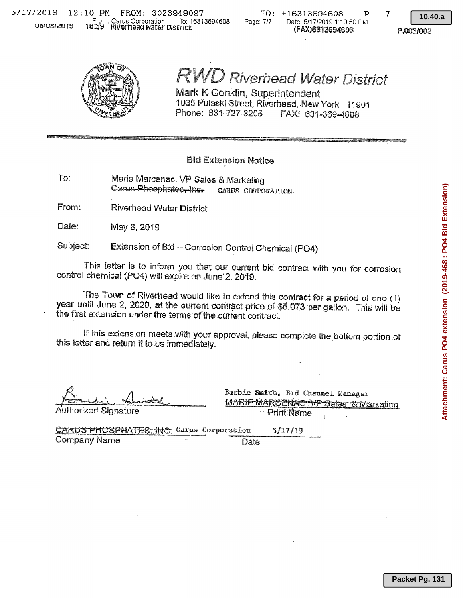TO: +16313694608 Page: 7/7 Date: 5/17/2019 1:10:50 PM (FAX)6313694608

 $\mathbf{I}$ 

7

 $\mathbf{p}$ .

10.40.a

P.002/002



# **RVD Riverhead Water District**

Mark K Conklin, Superintendent 1035 Pulaski Street, Riverhead, New York 11901 Phone: 631-727-3205 FAX: 631-369-4608

### **Bid Extension Notice**

Marie Marcenac, VP Sales & Marketing To: Carus-Phosphates-Inc-CARUS CORPORATION

From: **Riverhead Water District** 

Date: May 8, 2019

Subject: Extension of Bid - Corrosion Control Chemical (PO4)

This letter is to inform you that our current bid contract with you for corrosion control chemical (PO4) will expire on June 2, 2019.

The Town of Riverhead would like to extend this contract for a period of one (1) year until June 2, 2020, at the current contract price of \$5.073 per gallon. This will be the first extension under the terms of the current contract.

If this extension meets with your approval, please complete the bottom portion of this letter and return it to us immediately.

Authorized Signature

Barbie Smith, Bid Channel Manager **MARIE MARCENAC, VP Sales & Marketing Print Name**  $\lambda$ 

CARUS PHOSPHATES. INC. Carus Corporation  $5/17/19$ **Company Name** Date